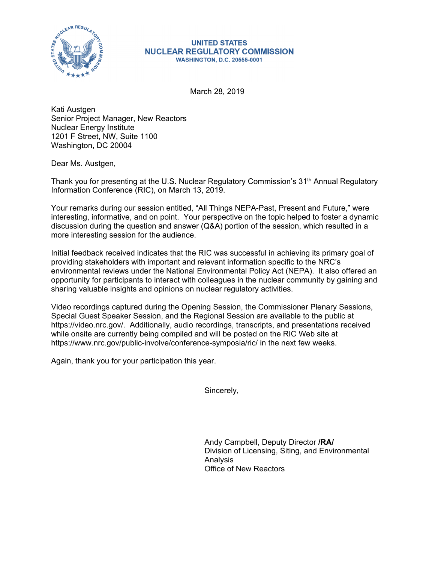

## **UNITED STATES NUCLEAR REGULATORY COMMISSION WASHINGTON, D.C. 20555-0001**

March 28, 2019

Kati Austgen Senior Project Manager, New Reactors Nuclear Energy Institute 1201 F Street, NW, Suite 1100 Washington, DC 20004

Dear Ms. Austgen,

Thank you for presenting at the U.S. Nuclear Regulatory Commission's 31<sup>th</sup> Annual Regulatory Information Conference (RIC), on March 13, 2019.

Your remarks during our session entitled, "All Things NEPA-Past, Present and Future," were interesting, informative, and on point. Your perspective on the topic helped to foster a dynamic discussion during the question and answer (Q&A) portion of the session, which resulted in a more interesting session for the audience.

Initial feedback received indicates that the RIC was successful in achieving its primary goal of providing stakeholders with important and relevant information specific to the NRC's environmental reviews under the National Environmental Policy Act (NEPA). It also offered an opportunity for participants to interact with colleagues in the nuclear community by gaining and sharing valuable insights and opinions on nuclear regulatory activities.

Video recordings captured during the Opening Session, the Commissioner Plenary Sessions, Special Guest Speaker Session, and the Regional Session are available to the public at https://video.nrc.gov/. Additionally, audio recordings, transcripts, and presentations received while onsite are currently being compiled and will be posted on the RIC Web site at https://www.nrc.gov/public-involve/conference-symposia/ric/ in the next few weeks.

Again, thank you for your participation this year.

Sincerely,

Andy Campbell, Deputy Director **/RA/**  Division of Licensing, Siting, and Environmental Analysis Office of New Reactors